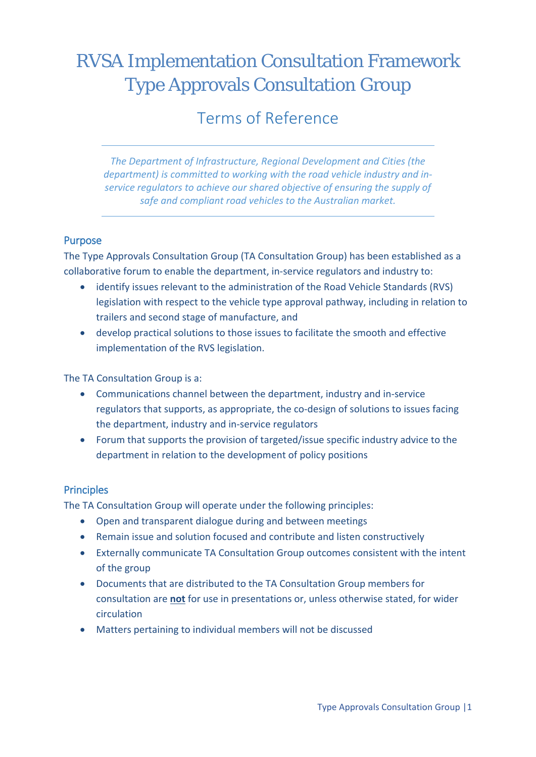# RVSA Implementation Consultation Framework Type Approvals Consultation Group

# Terms of Reference

*The Department of Infrastructure, Regional Development and Cities (the department) is committed to working with the road vehicle industry and inservice regulators to achieve our shared objective of ensuring the supply of safe and compliant road vehicles to the Australian market.*

#### Purpose

The Type Approvals Consultation Group (TA Consultation Group) has been established as a collaborative forum to enable the department, in-service regulators and industry to:

- identify issues relevant to the administration of the Road Vehicle Standards (RVS) legislation with respect to the vehicle type approval pathway, including in relation to trailers and second stage of manufacture, and
- develop practical solutions to those issues to facilitate the smooth and effective implementation of the RVS legislation.

The TA Consultation Group is a:

- Communications channel between the department, industry and in-service regulators that supports, as appropriate, the co-design of solutions to issues facing the department, industry and in-service regulators
- Forum that supports the provision of targeted/issue specific industry advice to the department in relation to the development of policy positions

#### **Principles**

The TA Consultation Group will operate under the following principles:

- Open and transparent dialogue during and between meetings
- Remain issue and solution focused and contribute and listen constructively
- Externally communicate TA Consultation Group outcomes consistent with the intent of the group
- Documents that are distributed to the TA Consultation Group members for consultation are **not** for use in presentations or, unless otherwise stated, for wider circulation
- Matters pertaining to individual members will not be discussed